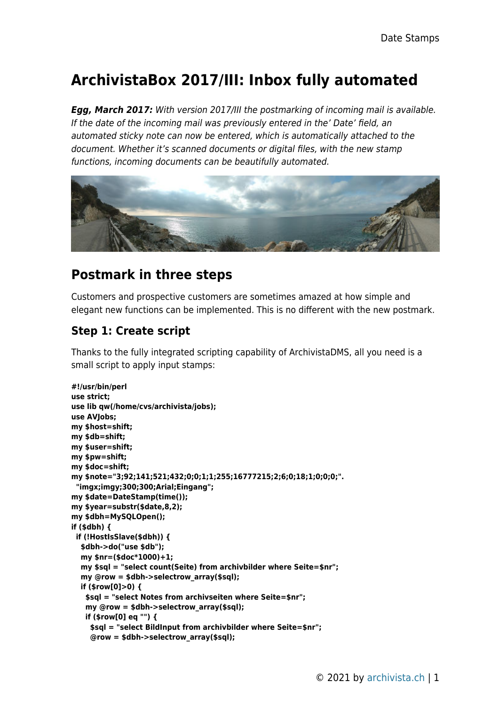# **ArchivistaBox 2017/III: Inbox fully automated**

*Egg, March 2017:* With version 2017/III the postmarking of incoming mail is available. If the date of the incoming mail was previously entered in the' Date' field, an automated sticky note can now be entered, which is automatically attached to the document. Whether it's scanned documents or digital files, with the new stamp functions, incoming documents can be beautifully automated.



### **Postmark in three steps**

Customers and prospective customers are sometimes amazed at how simple and elegant new functions can be implemented. This is no different with the new postmark.

### **Step 1: Create script**

Thanks to the fully integrated scripting capability of ArchivistaDMS, all you need is a small script to apply input stamps:

```
#!/usr/bin/perl
use strict;
use lib qw(/home/cvs/archivista/jobs);
use AVJobs;
my $host=shift;
my $db=shift;
my $user=shift;
my $pw=shift;
my $doc=shift;
my $note="3;92;141;521;432;0;0;1;1;255;16777215;2;6;0;18;1;0;0;0;".
 "imgx;imgy;300;300;Arial;Eingang";
my $date=DateStamp(time());
my $year=substr($date,8,2);
my $dbh=MySQLOpen();
if ($dbh) {
 if (!HostIsSlave($dbh)) {
   $dbh->do("use $db");
   my $nr=($doc*1000)+1;
   my $sql = "select count(Seite) from archivbilder where Seite=$nr";
   my @row = $dbh->selectrow_array($sql);
   if ($row[0]>0) {
    $sql = "select Notes from archivseiten where Seite=$nr";
    my @row = $dbh->selectrow_array($sql);
    if ($row[0] eq "") {
     $sql = "select BildInput from archivbilder where Seite=$nr";
     @row = $dbh->selectrow_array($sql);
```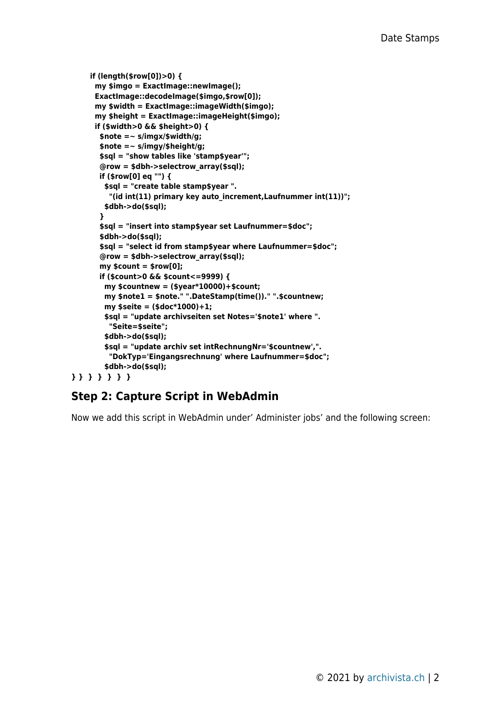```
 if (length($row[0])>0) {
      my $imgo = ExactImage::newImage();
       ExactImage::decodeImage($imgo,$row[0]);
       my $width = ExactImage::imageWidth($imgo);
       my $height = ExactImage::imageHeight($imgo);
       if ($width>0 && $height>0) {
        $note =~ s/imgx/$width/g;
        $note =~ s/imgy/$height/g;
        $sql = "show tables like 'stamp$year'";
        @row = $dbh->selectrow_array($sql);
        if ($row[0] eq "") {
         $sql = "create table stamp$year ".
          "(id int(11) primary key auto_increment,Laufnummer int(11))";
         $dbh->do($sql);
        }
        $sql = "insert into stamp$year set Laufnummer=$doc";
        $dbh->do($sql);
        $sql = "select id from stamp$year where Laufnummer=$doc";
        @row = $dbh->selectrow_array($sql);
        my $count = $row[0];
        if ($count>0 && $count<=9999) {
         my $countnew = ($year*10000)+$count;
         my $note1 = $note." ".DateStamp(time())." ".$countnew;
         my $seite = ($doc*1000)+1;
         $sql = "update archivseiten set Notes='$note1' where ".
          "Seite=$seite";
         $dbh->do($sql);
         $sql = "update archiv set intRechnungNr='$countnew',".
          "DokTyp='Eingangsrechnung' where Laufnummer=$doc";
         $dbh->do($sql);
} } } } } } }
```
#### **Step 2: Capture Script in WebAdmin**

Now we add this script in WebAdmin under' Administer jobs' and the following screen: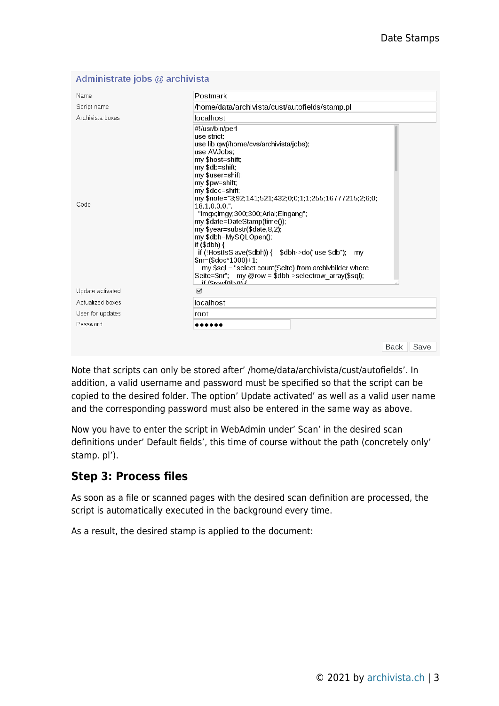| Name             | Postmark                                                                                                                                                                                                                                                                                                                                                                                                                                                                                                                                                                                                                                                 |
|------------------|----------------------------------------------------------------------------------------------------------------------------------------------------------------------------------------------------------------------------------------------------------------------------------------------------------------------------------------------------------------------------------------------------------------------------------------------------------------------------------------------------------------------------------------------------------------------------------------------------------------------------------------------------------|
| Script name      | /home/data/archivista/cust/autofields/stamp.pl                                                                                                                                                                                                                                                                                                                                                                                                                                                                                                                                                                                                           |
| Archivista boxes | localhost                                                                                                                                                                                                                                                                                                                                                                                                                                                                                                                                                                                                                                                |
| Code             | #!/usr/bin/perl<br>use strict:<br>use lib qw(/home/cvs/archivista/jobs);<br>use AVJobs:<br>my \$host=shift;<br>my \$db=shift;<br>my \$user=shift;<br>my \$pw=shift;<br>my \$doc=shift:<br>my \$note="3,92,141,521,432,0,0,1,1,255,16777215,2,6,0,<br>18:1:0:0:0:".<br>"imgx;imgy;300;300;Arial;Eingang";<br>my \$date=DateStamp(time());<br>my \$year=substr(\$date,8,2);<br>my \$dbh=MySQLOpen();<br>if $(Sdbh)$ {<br>if (!HostIsSlave(\$dbh)) { $$dbh > do("use $db").$ my<br>$$nr=($doc*1000)+1;$<br>my \$sql = "select count(Seite) from archivbilder where<br>Seite=\$nr"; my @row = \$dbh->selectrow array(\$sql);<br>$1$ (Grown) if $\frac{4}{3}$ |
| Update activated | $\blacktriangleright$                                                                                                                                                                                                                                                                                                                                                                                                                                                                                                                                                                                                                                    |
| Actualized boxes | localhost                                                                                                                                                                                                                                                                                                                                                                                                                                                                                                                                                                                                                                                |
| User for updates | root                                                                                                                                                                                                                                                                                                                                                                                                                                                                                                                                                                                                                                                     |
| Password         |                                                                                                                                                                                                                                                                                                                                                                                                                                                                                                                                                                                                                                                          |
|                  | Back<br>Save                                                                                                                                                                                                                                                                                                                                                                                                                                                                                                                                                                                                                                             |

#### Administrate jobs @ archivista

Note that scripts can only be stored after' /home/data/archivista/cust/autofields'. In addition, a valid username and password must be specified so that the script can be copied to the desired folder. The option' Update activated' as well as a valid user name and the corresponding password must also be entered in the same way as above.

Now you have to enter the script in WebAdmin under' Scan' in the desired scan definitions under' Default fields', this time of course without the path (concretely only' stamp. pl').

### **Step 3: Process files**

As soon as a file or scanned pages with the desired scan definition are processed, the script is automatically executed in the background every time.

As a result, the desired stamp is applied to the document: